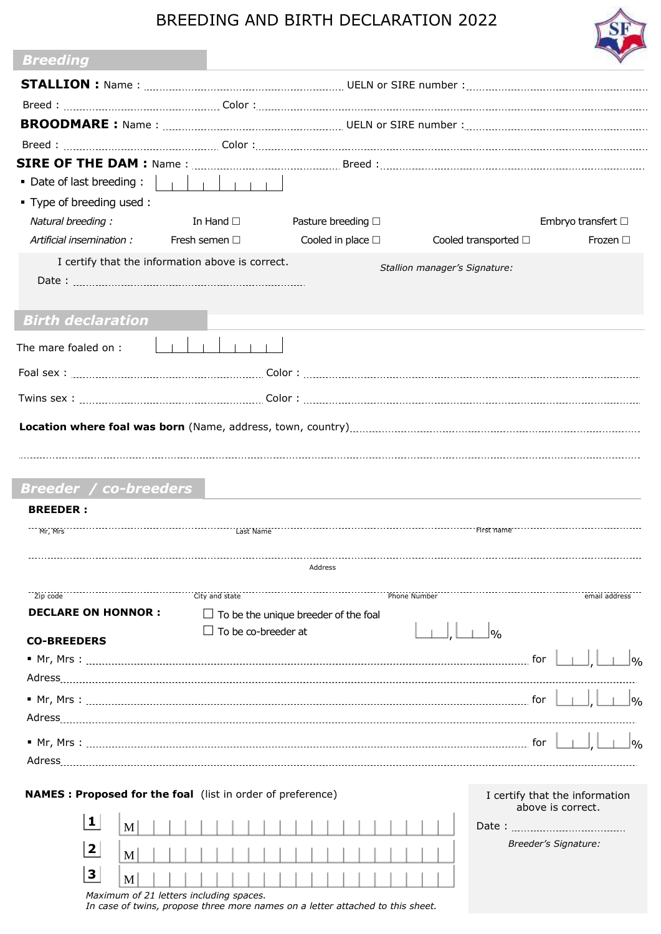## BREEDING AND BIRTH DECLARATION 2022

| <b>Breeding</b>                                             |                                                 |                                                     |
|-------------------------------------------------------------|-------------------------------------------------|-----------------------------------------------------|
|                                                             |                                                 |                                                     |
|                                                             |                                                 |                                                     |
|                                                             |                                                 |                                                     |
|                                                             |                                                 |                                                     |
|                                                             |                                                 |                                                     |
|                                                             |                                                 |                                                     |
| . Type of breeding used:                                    |                                                 |                                                     |
| Natural breeding:                                           | In Hand $\square$<br>Pasture breeding $\Box$    | Embryo transfert $\Box$                             |
| Artificial insemination :                                   | Cooled in place $\square$<br>Fresh semen $\Box$ | Cooled transported $\Box$<br>Frozen $\square$       |
| I certify that the information above is correct.            |                                                 | Stallion manager's Signature:                       |
| <b>Birth declaration</b>                                    |                                                 |                                                     |
| The mare foaled on :                                        |                                                 |                                                     |
|                                                             |                                                 |                                                     |
|                                                             |                                                 |                                                     |
|                                                             |                                                 |                                                     |
| <b>Breeder / co-breeders</b><br><b>BREEDER:</b><br>Mr, Mrs  |                                                 |                                                     |
|                                                             | Address                                         |                                                     |
| Zip code                                                    | City and state                                  | Phone Number<br>email address                       |
| <b>DECLARE ON HONNOR:</b>                                   | $\Box$ To be the unique breeder of the foal     |                                                     |
| <b>CO-BREEDERS</b>                                          | To be co-breeder at                             | 9/6<br> 0/2                                         |
|                                                             |                                                 |                                                     |
|                                                             |                                                 | $\log$                                              |
|                                                             |                                                 | 0/2                                                 |
|                                                             |                                                 |                                                     |
| NAMES : Proposed for the foal (list in order of preference) |                                                 | I certify that the information<br>above is correct. |
| 1<br>M                                                      |                                                 |                                                     |
| $\mathbf{2}$<br>M                                           |                                                 | Breeder's Signature:                                |
| 3<br>M                                                      |                                                 |                                                     |
| Maximum of 21 letters including spaces.                     |                                                 |                                                     |

*In case of twins, propose three more names on a letter attached to this sheet.*